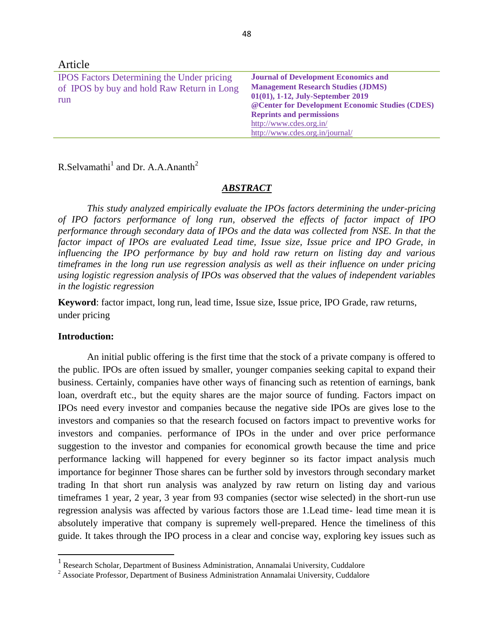| Article                                                                                                |                                                                                                                                                                                                                                                                                    |
|--------------------------------------------------------------------------------------------------------|------------------------------------------------------------------------------------------------------------------------------------------------------------------------------------------------------------------------------------------------------------------------------------|
| <b>IPOS</b> Factors Determining the Under pricing<br>of IPOS by buy and hold Raw Return in Long<br>run | <b>Journal of Development Economics and</b><br><b>Management Research Studies (JDMS)</b><br>01(01), 1-12, July-September 2019<br>@ Center for Development Economic Studies (CDES)<br><b>Reprints and permissions</b><br>http://www.cdes.org.in/<br>http://www.cdes.org.in/journal/ |

R.Selvamathi<sup>1</sup> and Dr. A.A.Ananth<sup>2</sup>

## *ABSTRACT*

*This study analyzed empirically evaluate the IPOs factors determining the under-pricing of IPO factors performance of long run, observed the effects of factor impact of IPO performance through secondary data of IPOs and the data was collected from NSE. In that the factor impact of IPOs are evaluated Lead time, Issue size, Issue price and IPO Grade, in influencing the IPO performance by buy and hold raw return on listing day and various timeframes in the long run use regression analysis as well as their influence on under pricing using logistic regression analysis of IPOs was observed that the values of independent variables in the logistic regression* 

**Keyword**: factor impact, long run, lead time, Issue size, Issue price, IPO Grade, raw returns, under pricing

## **Introduction:**

 $\overline{\phantom{a}}$ 

An initial public offering is the first time that the stock of a private company is offered to the public. IPOs are often issued by smaller, younger companies seeking capital to expand their business. Certainly, companies have other ways of financing such as retention of earnings, bank loan, overdraft etc., but the equity shares are the major source of funding. Factors impact on IPOs need every investor and companies because the negative side IPOs are gives lose to the investors and companies so that the research focused on factors impact to preventive works for investors and companies. performance of IPOs in the under and over price performance suggestion to the investor and companies for economical growth because the time and price performance lacking will happened for every beginner so its factor impact analysis much importance for beginner Those shares can be further sold by investors through secondary market trading In that short run analysis was analyzed by raw return on listing day and various timeframes 1 year, 2 year, 3 year from 93 companies (sector wise selected) in the short-run use regression analysis was affected by various factors those are 1.Lead time- lead time mean it is absolutely imperative that company is supremely well-prepared. Hence the timeliness of this guide. It takes through the IPO process in a clear and concise way, exploring key issues such as

<sup>&</sup>lt;sup>1</sup> Research Scholar, Department of Business Administration, Annamalai University, Cuddalore

<sup>&</sup>lt;sup>2</sup> Associate Professor, Department of Business Administration Annamalai University, Cuddalore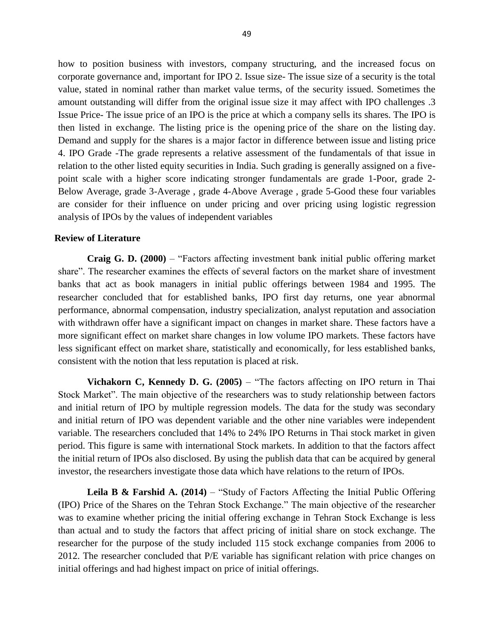how to position business with investors, company structuring, and the increased focus on corporate governance and, important for IPO 2. Issue size- The issue size of a security is the total value, stated in nominal rather than market value terms, of the security issued. Sometimes the amount outstanding will differ from the original issue size it may affect with IPO challenges .3 Issue Price- The issue price of an IPO is the price at which a company sells its shares. The IPO is then listed in exchange. The listing price is the opening price of the share on the listing day. Demand and supply for the shares is a major factor in difference between issue and listing price 4. IPO Grade -The grade represents a relative assessment of the fundamentals of that issue in relation to the other listed equity securities in India. Such grading is generally assigned on a fivepoint scale with a higher score indicating stronger fundamentals are grade 1-Poor, grade 2- Below Average, grade 3-Average , grade 4-Above Average , grade 5-Good these four variables are consider for their influence on under pricing and over pricing using logistic regression analysis of IPOs by the values of independent variables

### **Review of Literature**

**Craig G. D. (2000)** – "Factors affecting investment bank initial public offering market share". The researcher examines the effects of several factors on the market share of investment banks that act as book managers in initial public offerings between 1984 and 1995. The researcher concluded that for established banks, IPO first day returns, one year abnormal performance, abnormal compensation, industry specialization, analyst reputation and association with withdrawn offer have a significant impact on changes in market share. These factors have a more significant effect on market share changes in low volume IPO markets. These factors have less significant effect on market share, statistically and economically, for less established banks, consistent with the notion that less reputation is placed at risk.

**Vichakorn C, Kennedy D. G. (2005)** – "The factors affecting on IPO return in Thai Stock Market". The main objective of the researchers was to study relationship between factors and initial return of IPO by multiple regression models. The data for the study was secondary and initial return of IPO was dependent variable and the other nine variables were independent variable. The researchers concluded that 14% to 24% IPO Returns in Thai stock market in given period. This figure is same with international Stock markets. In addition to that the factors affect the initial return of IPOs also disclosed. By using the publish data that can be acquired by general investor, the researchers investigate those data which have relations to the return of IPOs.

**Leila B & Farshid A. (2014)** – "Study of Factors Affecting the Initial Public Offering (IPO) Price of the Shares on the Tehran Stock Exchange." The main objective of the researcher was to examine whether pricing the initial offering exchange in Tehran Stock Exchange is less than actual and to study the factors that affect pricing of initial share on stock exchange. The researcher for the purpose of the study included 115 stock exchange companies from 2006 to 2012. The researcher concluded that P/E variable has significant relation with price changes on initial offerings and had highest impact on price of initial offerings.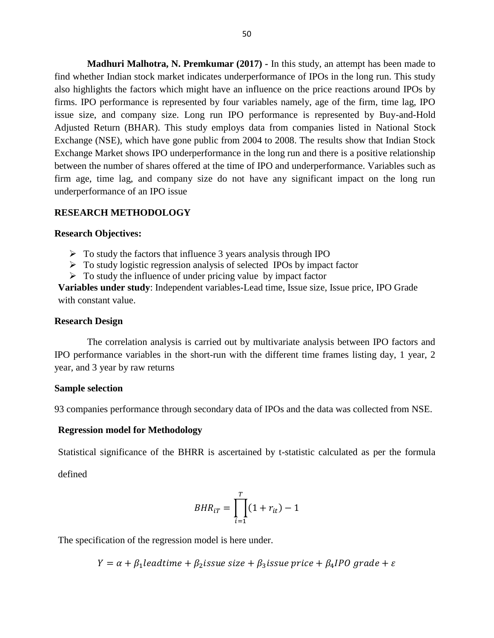**Madhuri Malhotra, N. Premkumar (2017) -** In this study, an attempt has been made to find whether Indian stock market indicates underperformance of IPOs in the long run. This study also highlights the factors which might have an influence on the price reactions around IPOs by firms. IPO performance is represented by four variables namely, age of the firm, time lag, IPO issue size, and company size. Long run IPO performance is represented by Buy-and-Hold Adjusted Return (BHAR). This study employs data from companies listed in National Stock Exchange (NSE), which have gone public from 2004 to 2008. The results show that Indian Stock Exchange Market shows IPO underperformance in the long run and there is a positive relationship between the number of shares offered at the time of IPO and underperformance. Variables such as firm age, time lag, and company size do not have any significant impact on the long run underperformance of an IPO issue

### **RESEARCH METHODOLOGY**

#### **Research Objectives:**

- $\triangleright$  To study the factors that influence 3 years analysis through IPO
- $\triangleright$  To study logistic regression analysis of selected IPOs by impact factor
- $\triangleright$  To study the influence of under pricing value by impact factor

**Variables under study**: Independent variables-Lead time, Issue size, Issue price, IPO Grade with constant value.

#### **Research Design**

The correlation analysis is carried out by multivariate analysis between IPO factors and IPO performance variables in the short-run with the different time frames listing day, 1 year, 2 year, and 3 year by raw returns

#### **Sample selection**

93 companies performance through secondary data of IPOs and the data was collected from NSE.

### **Regression model for Methodology**

Statistical significance of the BHRR is ascertained by t-statistic calculated as per the formula

defined

$$
BHR_{iT} = \prod_{i=1}^{T} (1 + r_{it}) - 1
$$

The specification of the regression model is here under.

 $Y = \alpha + \beta_1$ leadtime +  $\beta_2$ issue size +  $\beta_3$ issue price +  $\beta_4$ IPO grade +  $\varepsilon$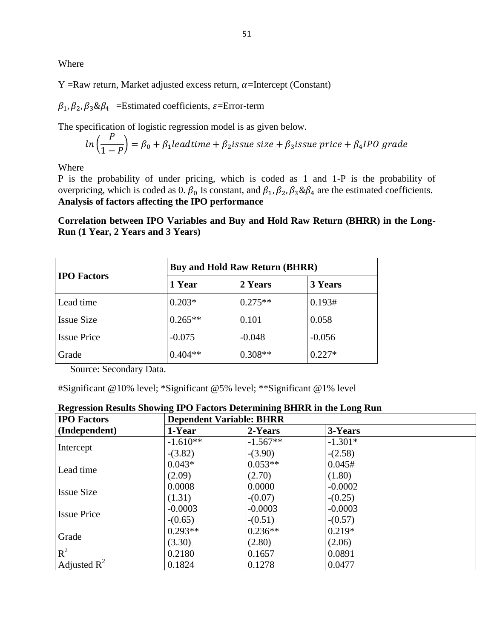Where

Y =Raw return, Market adjusted excess return,  $\alpha$ =Intercept (Constant)

 $\beta_1$ ,  $\beta_2$ ,  $\beta_3$ & $\beta_4$  =Estimated coefficients,  $\varepsilon$ =Error-term

The specification of logistic regression model is as given below.

$$
ln\left(\frac{P}{1-P}\right) = \beta_0 + \beta_1 leading \text{ because } size + \beta_3 is \text{use price} + \beta_4 IPO \text{ grade}
$$

Where

P is the probability of under pricing, which is coded as 1 and 1-P is the probability of overpricing, which is coded as 0.  $\beta_0$  Is constant, and  $\beta_1$ ,  $\beta_2$ ,  $\beta_3$ & $\beta_4$  are the estimated coefficients. **Analysis of factors affecting the IPO performance**

**Correlation between IPO Variables and Buy and Hold Raw Return (BHRR) in the Long-Run (1 Year, 2 Years and 3 Years)**

|                    | <b>Buy and Hold Raw Return (BHRR)</b> |           |          |  |  |  |
|--------------------|---------------------------------------|-----------|----------|--|--|--|
| <b>IPO</b> Factors | 1 Year                                | 2 Years   | 3 Years  |  |  |  |
| Lead time          | $0.203*$                              | $0.275**$ | 0.193#   |  |  |  |
| <b>Issue Size</b>  | $0.265**$                             | 0.101     | 0.058    |  |  |  |
| <b>Issue Price</b> | $-0.075$                              | $-0.048$  | $-0.056$ |  |  |  |
| Grade              | $0.404**$                             | $0.308**$ | $0.227*$ |  |  |  |

Source: Secondary Data.

#Significant @10% level; \*Significant @5% level; \*\*Significant @1% level

| <b>IPO Factors</b> |            | <b>Dependent Variable: BHRR</b> |           |  |  |  |  |
|--------------------|------------|---------------------------------|-----------|--|--|--|--|
| (Independent)      | 1-Year     | 2-Years                         | 3-Years   |  |  |  |  |
|                    | $-1.610**$ | $-1.567**$                      | $-1.301*$ |  |  |  |  |
| Intercept          | $-(3.82)$  | $-(3.90)$                       | $-(2.58)$ |  |  |  |  |
| Lead time          | $0.043*$   | $0.053**$                       | 0.045#    |  |  |  |  |
|                    | (2.09)     | (2.70)                          | (1.80)    |  |  |  |  |
|                    | 0.0008     | 0.0000                          | $-0.0002$ |  |  |  |  |
| <b>Issue Size</b>  | (1.31)     | $-(0.07)$                       | $-(0.25)$ |  |  |  |  |
| <b>Issue Price</b> | $-0.0003$  | $-0.0003$                       | $-0.0003$ |  |  |  |  |
|                    | $-(0.65)$  | $-(0.51)$                       | $-(0.57)$ |  |  |  |  |
| Grade              | $0.293**$  | $0.236**$                       | $0.219*$  |  |  |  |  |
|                    | (3.30)     | (2.80)                          | (2.06)    |  |  |  |  |
| $R^2$              | 0.2180     | 0.1657                          | 0.0891    |  |  |  |  |
| Adjusted $R^2$     | 0.1824     | 0.1278                          | 0.0477    |  |  |  |  |

# **Regression Results Showing IPO Factors Determining BHRR in the Long Run**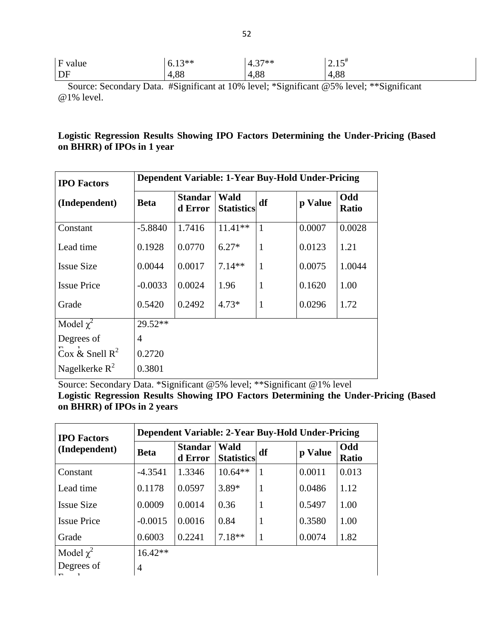| F value        |  |    | $2**$<br>◡•+◡              |         | $27**$<br>4<br>᠇.᠊.         |                | 1.5<br>ل 1 .                              |                     |                |  |  |
|----------------|--|----|----------------------------|---------|-----------------------------|----------------|-------------------------------------------|---------------------|----------------|--|--|
| $\overline{D}$ |  |    | $\circ$<br>I.OO            |         | $\circ$<br>$\Delta$<br>I.OC |                | 4,88                                      |                     |                |  |  |
| $\sim$         |  | T. | $\cdot$ $\sim$<br>$\cdots$ | . 10011 | $\cdot$ $\sim$ $\sim$       | $\cdot$ $\sim$ | $\sim$ $\sim$ $\sim$ $\sim$ $\sim$ $\sim$ | $1 - 3 - 1 - 1 = 1$ | $\cdot$ $\sim$ |  |  |

 Source: Secondary Data. #Significant at 10% level; \*Significant @5% level; \*\*Significant @1% level.

# **Logistic Regression Results Showing IPO Factors Determining the Under-Pricing (Based on BHRR) of IPOs in 1 year**

| <b>IPO Factors</b> |                | Dependent Variable: 1-Year Buy-Hold Under-Pricing |                           |              |         |                     |  |  |  |
|--------------------|----------------|---------------------------------------------------|---------------------------|--------------|---------|---------------------|--|--|--|
| (Independent)      | <b>Beta</b>    | <b>Standar</b><br>d Error                         | Wald<br><b>Statistics</b> | df           | p Value | Odd<br><b>Ratio</b> |  |  |  |
| Constant           | $-5.8840$      | 1.7416                                            | $11.41**$                 | $\mathbf{1}$ | 0.0007  | 0.0028              |  |  |  |
| Lead time          | 0.1928         | 0.0770                                            | $6.27*$                   | $\mathbf{1}$ | 0.0123  | 1.21                |  |  |  |
| <b>Issue Size</b>  | 0.0044         | 0.0017                                            | $7.14**$                  | $\mathbf{1}$ | 0.0075  | 1.0044              |  |  |  |
| <b>Issue Price</b> | $-0.0033$      | 0.0024                                            | 1.96                      | $\mathbf{1}$ | 0.1620  | 1.00                |  |  |  |
| Grade              | 0.5420         | 0.2492                                            | $4.73*$                   | $\mathbf{1}$ | 0.0296  | 1.72                |  |  |  |
| Model $\chi^2$     | 29.52**        |                                                   |                           |              |         |                     |  |  |  |
| Degrees of         | $\overline{4}$ |                                                   |                           |              |         |                     |  |  |  |
| Cox & Snell $R^2$  | 0.2720         |                                                   |                           |              |         |                     |  |  |  |
| Nagelkerke $R^2$   | 0.3801         |                                                   |                           |              |         |                     |  |  |  |

Source: Secondary Data. \*Significant @5% level; \*\*Significant @1% level

**Logistic Regression Results Showing IPO Factors Determining the Under-Pricing (Based on BHRR) of IPOs in 2 years** 

| <b>IPO</b> Factors | Dependent Variable: 2-Year Buy-Hold Under-Pricing |                           |                           |    |         |                     |  |  |
|--------------------|---------------------------------------------------|---------------------------|---------------------------|----|---------|---------------------|--|--|
| (Independent)      | <b>Beta</b>                                       | <b>Standar</b><br>d Error | Wald<br><b>Statistics</b> | df | p Value | Odd<br><b>Ratio</b> |  |  |
| Constant           | $-4.3541$                                         | 1.3346                    | $10.64**$                 | 1  | 0.0011  | 0.013               |  |  |
| Lead time          | 0.1178                                            | 0.0597                    | 3.89*                     | 1  | 0.0486  | 1.12                |  |  |
| <b>Issue Size</b>  | 0.0009                                            | 0.0014                    | 0.36                      | 1  | 0.5497  | 1.00                |  |  |
| <b>Issue Price</b> | $-0.0015$                                         | 0.0016                    | 0.84                      | 1  | 0.3580  | 1.00                |  |  |
| Grade              | 0.6003                                            | 0.2241                    | $7.18**$                  | 1  | 0.0074  | 1.82                |  |  |
| Model $\chi^2$     | $16.42**$                                         |                           |                           |    |         |                     |  |  |
| Degrees of         | $\overline{4}$                                    |                           |                           |    |         |                     |  |  |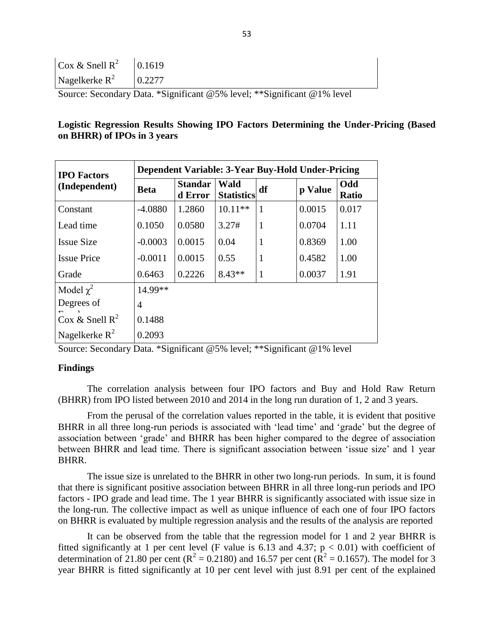| $\cos \& \text{ Snell } R^2$ 0.1619 |                                            |
|-------------------------------------|--------------------------------------------|
| Nagelkerke $R^2$   0.2277           |                                            |
| $\sim$                              | $\mathbf{r}$ . $\mathbf{v}$ . $\mathbf{r}$ |

Source: Secondary Data. \*Significant @5% level; \*\*Significant @1% level

## **Logistic Regression Results Showing IPO Factors Determining the Under-Pricing (Based on BHRR) of IPOs in 3 years**

| <b>IPO</b> Factors<br>(Independent) | Dependent Variable: 3-Year Buy-Hold Under-Pricing |                           |                                  |              |         |                     |  |  |
|-------------------------------------|---------------------------------------------------|---------------------------|----------------------------------|--------------|---------|---------------------|--|--|
|                                     | <b>Beta</b>                                       | <b>Standar</b><br>d Error | <b>Wald</b><br><b>Statistics</b> | df           | p Value | Odd<br><b>Ratio</b> |  |  |
| Constant                            | $-4.0880$                                         | 1.2860                    | $10.11**$                        | $\mathbf{1}$ | 0.0015  | 0.017               |  |  |
| Lead time                           | 0.1050                                            | 0.0580                    | 3.27#                            | 1            | 0.0704  | 1.11                |  |  |
| <b>Issue Size</b>                   | $-0.0003$                                         | 0.0015                    | 0.04                             | $\mathbf{1}$ | 0.8369  | 1.00                |  |  |
| <b>Issue Price</b>                  | $-0.0011$                                         | 0.0015                    | 0.55                             | $\mathbf{1}$ | 0.4582  | 1.00                |  |  |
| Grade                               | 0.6463                                            | 0.2226                    | $8.43**$                         | $\mathbf{1}$ | 0.0037  | 1.91                |  |  |
| Model $\chi^2$                      | 14.99**                                           |                           |                                  |              |         |                     |  |  |
| Degrees of                          | 4                                                 |                           |                                  |              |         |                     |  |  |
| Cox & Snell $R^2$                   | 0.1488                                            |                           |                                  |              |         |                     |  |  |
| Nagelkerke $R^2$                    | 0.2093                                            |                           |                                  |              |         |                     |  |  |

Source: Secondary Data. \*Significant @5% level; \*\*Significant @1% level

## **Findings**

The correlation analysis between four IPO factors and Buy and Hold Raw Return (BHRR) from IPO listed between 2010 and 2014 in the long run duration of 1, 2 and 3 years.

From the perusal of the correlation values reported in the table, it is evident that positive BHRR in all three long-run periods is associated with 'lead time' and 'grade' but the degree of association between 'grade' and BHRR has been higher compared to the degree of association between BHRR and lead time. There is significant association between 'issue size' and 1 year BHRR.

The issue size is unrelated to the BHRR in other two long-run periods. In sum, it is found that there is significant positive association between BHRR in all three long-run periods and IPO factors - IPO grade and lead time. The 1 year BHRR is significantly associated with issue size in the long-run. The collective impact as well as unique influence of each one of four IPO factors on BHRR is evaluated by multiple regression analysis and the results of the analysis are reported

It can be observed from the table that the regression model for 1 and 2 year BHRR is fitted significantly at 1 per cent level (F value is 6.13 and 4.37;  $p < 0.01$ ) with coefficient of determination of 21.80 per cent ( $R^2 = 0.2180$ ) and 16.57 per cent ( $R^2 = 0.1657$ ). The model for 3 year BHRR is fitted significantly at 10 per cent level with just 8.91 per cent of the explained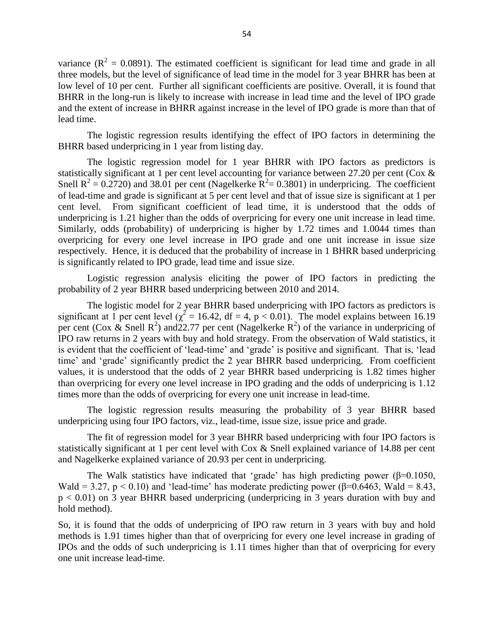variance ( $R^2 = 0.0891$ ). The estimated coefficient is significant for lead time and grade in all three models, but the level of significance of lead time in the model for 3 year BHRR has been at low level of 10 per cent. Further all significant coefficients are positive. Overall, it is found that BHRR in the long-run is likely to increase with increase in lead time and the level of IPO grade and the extent of increase in BHRR against increase in the level of IPO grade is more than that of lead time.

The logistic regression results identifying the effect of IPO factors in determining the BHRR based underpricing in 1 year from listing day.

The logistic regression model for 1 year BHRR with IPO factors as predictors is statistically significant at 1 per cent level accounting for variance between 27.20 per cent (Cox & Snell  $R^2 = 0.2720$ ) and 38.01 per cent (Nagelkerke  $R^2 = 0.3801$ ) in underpricing. The coefficient of lead-time and grade is significant at 5 per cent level and that of issue size is significant at 1 per cent level. From significant coefficient of lead time, it is understood that the odds of underpricing is 1.21 higher than the odds of overpricing for every one unit increase in lead time. Similarly, odds (probability) of underpricing is higher by 1.72 times and 1.0044 times than overpricing for every one level increase in IPO grade and one unit increase in issue size respectively. Hence, it is deduced that the probability of increase in 1 BHRR based underpricing is significantly related to IPO grade, lead time and issue size.

Logistic regression analysis eliciting the power of IPO factors in predicting the probability of 2 year BHRR based underpricing between 2010 and 2014.

The logistic model for 2 year BHRR based underpricing with IPO factors as predictors is significant at 1 per cent level ( $\chi^2 = 16.42$ , df = 4, p < 0.01). The model explains between 16.19 per cent (Cox & Snell R<sup>2</sup>) and 22.77 per cent (Nagelkerke R<sup>2</sup>) of the variance in underpricing of IPO raw returns in 2 years with buy and hold strategy. From the observation of Wald statistics, it is evident that the coefficient of 'lead-time' and 'grade' is positive and significant. That is, 'lead time' and 'grade' significantly predict the 2 year BHRR based underpricing. From coefficient values, it is understood that the odds of 2 year BHRR based underpricing is 1.82 times higher than overpricing for every one level increase in IPO grading and the odds of underpricing is 1.12 times more than the odds of overpricing for every one unit increase in lead-time.

The logistic regression results measuring the probability of 3 year BHRR based underpricing using four IPO factors, viz., lead-time, issue size, issue price and grade.

The fit of regression model for 3 year BHRR based underpricing with four IPO factors is statistically significant at 1 per cent level with Cox & Snell explained variance of 14.88 per cent and Nagelkerke explained variance of 20.93 per cent in underpricing.

The Walk statistics have indicated that 'grade' has high predicting power ( $\beta$ =0.1050, Wald = 3.27,  $p < 0.10$ ) and 'lead-time' has moderate predicting power ( $\beta$ =0.6463, Wald = 8.43, p < 0.01) on 3 year BHRR based underpricing (underpricing in 3 years duration with buy and hold method).

So, it is found that the odds of underpricing of IPO raw return in 3 years with buy and hold methods is 1.91 times higher than that of overpricing for every one level increase in grading of IPOs and the odds of such underpricing is 1.11 times higher than that of overpricing for every one unit increase lead-time.